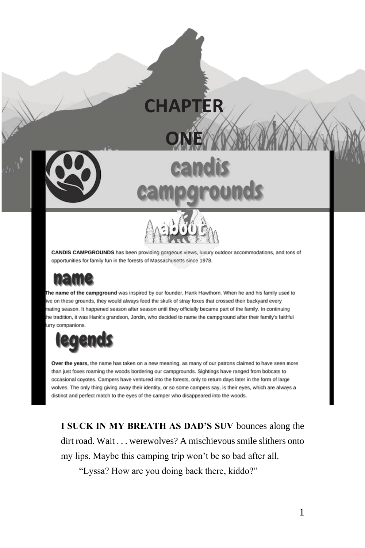

**CHAPTER** 

**ONE**

CANDIS CAMPGROUNDS has been providing gorgeous views, luxury outdoor accommodations, and tons of opportunities for family fun in the forests of Massachusetts since 1978.

The name of the campground was inspired by our founder, Hank Hawthorn. When he and his family used to ive on these grounds, they would always feed the skulk of stray foxes that crossed their backyard every mating season. It happened season after season until they officially became part of the family. In continuing he tradition, it was Hank's grandson, Jordin, who decided to name the campground after their family's faithful urry companions.



Over the years, the name has taken on a new meaning, as many of our patrons claimed to have seen more than just foxes roaming the woods bordering our campgrounds. Sightings have ranged from bobcats to occasional coyotes. Campers have ventured into the forests, only to return days later in the form of large wolves. The only thing giving away their identity, or so some campers say, is their eyes, which are always a distinct and perfect match to the eyes of the camper who disappeared into the woods.

**I SUCK IN MY BREATH AS DAD'S SUV** bounces along the dirt road. Wait . . . werewolves? A mischievous smile slithers onto my lips. Maybe this camping trip won't be so bad after all.

"Lyssa? How are you doing back there, kiddo?"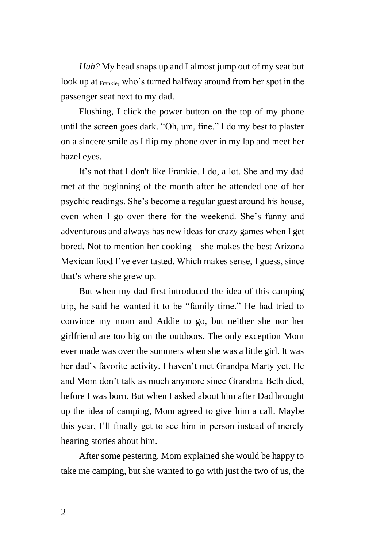*Huh?* My head snaps up and I almost jump out of my seat but look up at Frankie, who's turned halfway around from her spot in the passenger seat next to my dad.

Flushing, I click the power button on the top of my phone until the screen goes dark. "Oh, um, fine." I do my best to plaster on a sincere smile as I flip my phone over in my lap and meet her hazel eyes.

It's not that I don't like Frankie. I do, a lot. She and my dad met at the beginning of the month after he attended one of her psychic readings. She's become a regular guest around his house, even when I go over there for the weekend. She's funny and adventurous and always has new ideas for crazy games when I get bored. Not to mention her cooking—she makes the best Arizona Mexican food I've ever tasted. Which makes sense, I guess, since that's where she grew up.

But when my dad first introduced the idea of this camping trip, he said he wanted it to be "family time." He had tried to convince my mom and Addie to go, but neither she nor her girlfriend are too big on the outdoors. The only exception Mom ever made was over the summers when she was a little girl. It was her dad's favorite activity. I haven't met Grandpa Marty yet. He and Mom don't talk as much anymore since Grandma Beth died, before I was born. But when I asked about him after Dad brought up the idea of camping, Mom agreed to give him a call. Maybe this year, I'll finally get to see him in person instead of merely hearing stories about him.

After some pestering, Mom explained she would be happy to take me camping, but she wanted to go with just the two of us, the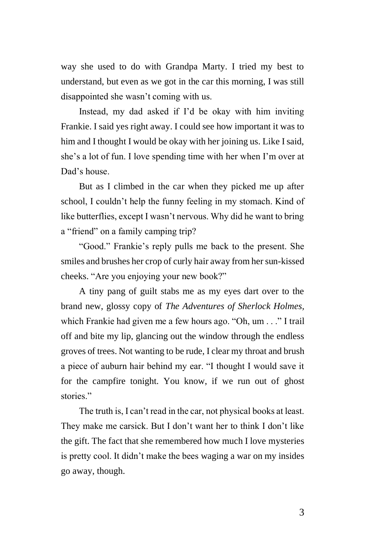way she used to do with Grandpa Marty. I tried my best to understand, but even as we got in the car this morning, I was still disappointed she wasn't coming with us.

Instead, my dad asked if I'd be okay with him inviting Frankie. I said yes right away. I could see how important it was to him and I thought I would be okay with her joining us. Like I said, she's a lot of fun. I love spending time with her when I'm over at Dad's house.

But as I climbed in the car when they picked me up after school, I couldn't help the funny feeling in my stomach. Kind of like butterflies, except I wasn't nervous. Why did he want to bring a "friend" on a family camping trip?

"Good." Frankie's reply pulls me back to the present. She smiles and brushes her crop of curly hair away from her sun-kissed cheeks. "Are you enjoying your new book?"

A tiny pang of guilt stabs me as my eyes dart over to the brand new, glossy copy of *The Adventures of Sherlock Holmes,* which Frankie had given me a few hours ago. "Oh, um . . ." I trail off and bite my lip, glancing out the window through the endless groves of trees. Not wanting to be rude, I clear my throat and brush a piece of auburn hair behind my ear. "I thought I would save it for the campfire tonight. You know, if we run out of ghost stories."

The truth is, I can't read in the car, not physical books at least. They make me carsick. But I don't want her to think I don't like the gift. The fact that she remembered how much I love mysteries is pretty cool. It didn't make the bees waging a war on my insides go away, though.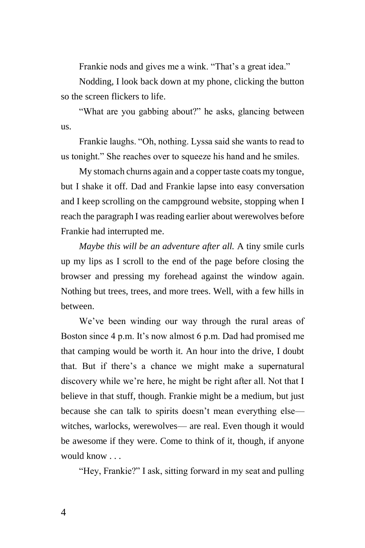Frankie nods and gives me a wink. "That's a great idea."

Nodding, I look back down at my phone, clicking the button so the screen flickers to life.

"What are you gabbing about?" he asks, glancing between us.

Frankie laughs. "Oh, nothing. Lyssa said she wants to read to us tonight." She reaches over to squeeze his hand and he smiles.

My stomach churns again and a copper taste coats my tongue, but I shake it off. Dad and Frankie lapse into easy conversation and I keep scrolling on the campground website, stopping when I reach the paragraph I was reading earlier about werewolves before Frankie had interrupted me.

*Maybe this will be an adventure after all.* A tiny smile curls up my lips as I scroll to the end of the page before closing the browser and pressing my forehead against the window again. Nothing but trees, trees, and more trees. Well, with a few hills in between.

We've been winding our way through the rural areas of Boston since 4 p.m. It's now almost 6 p.m. Dad had promised me that camping would be worth it. An hour into the drive, I doubt that. But if there's a chance we might make a supernatural discovery while we're here, he might be right after all. Not that I believe in that stuff, though. Frankie might be a medium, but just because she can talk to spirits doesn't mean everything else witches, warlocks, werewolves— are real. Even though it would be awesome if they were. Come to think of it, though, if anyone would know . . .

"Hey, Frankie?" I ask, sitting forward in my seat and pulling

4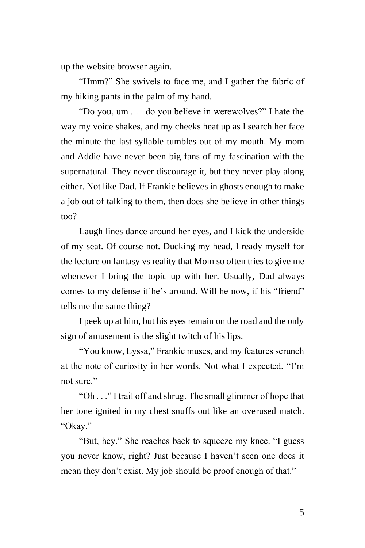up the website browser again.

"Hmm?" She swivels to face me, and I gather the fabric of my hiking pants in the palm of my hand.

"Do you, um . . . do you believe in werewolves?" I hate the way my voice shakes, and my cheeks heat up as I search her face the minute the last syllable tumbles out of my mouth. My mom and Addie have never been big fans of my fascination with the supernatural. They never discourage it, but they never play along either. Not like Dad. If Frankie believes in ghosts enough to make a job out of talking to them, then does she believe in other things too?

Laugh lines dance around her eyes, and I kick the underside of my seat. Of course not. Ducking my head, I ready myself for the lecture on fantasy vs reality that Mom so often tries to give me whenever I bring the topic up with her. Usually, Dad always comes to my defense if he's around. Will he now, if his "friend" tells me the same thing?

I peek up at him, but his eyes remain on the road and the only sign of amusement is the slight twitch of his lips.

"You know, Lyssa," Frankie muses, and my features scrunch at the note of curiosity in her words. Not what I expected. "I'm not sure."

"Oh . . ." I trail off and shrug. The small glimmer of hope that her tone ignited in my chest snuffs out like an overused match. "Okay."

"But, hey." She reaches back to squeeze my knee. "I guess you never know, right? Just because I haven't seen one does it mean they don't exist. My job should be proof enough of that."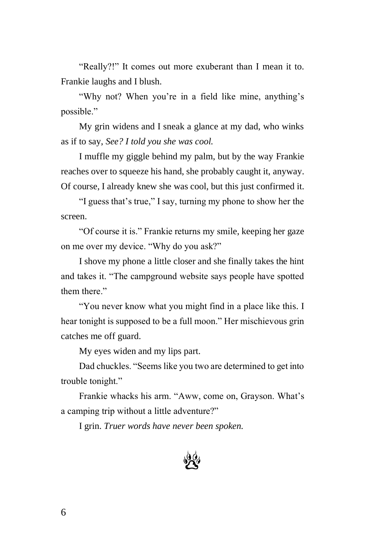"Really?!" It comes out more exuberant than I mean it to. Frankie laughs and I blush.

"Why not? When you're in a field like mine, anything's possible."

My grin widens and I sneak a glance at my dad, who winks as if to say, *See? I told you she was cool.*

I muffle my giggle behind my palm, but by the way Frankie reaches over to squeeze his hand, she probably caught it, anyway. Of course, I already knew she was cool, but this just confirmed it.

"I guess that's true," I say, turning my phone to show her the screen.

"Of course it is." Frankie returns my smile, keeping her gaze on me over my device. "Why do you ask?"

I shove my phone a little closer and she finally takes the hint and takes it. "The campground website says people have spotted them there."

"You never know what you might find in a place like this. I hear tonight is supposed to be a full moon." Her mischievous grin catches me off guard.

My eyes widen and my lips part.

Dad chuckles. "Seems like you two are determined to get into trouble tonight."

Frankie whacks his arm. "Aww, come on, Grayson. What's a camping trip without a little adventure?"

I grin. *Truer words have never been spoken.*

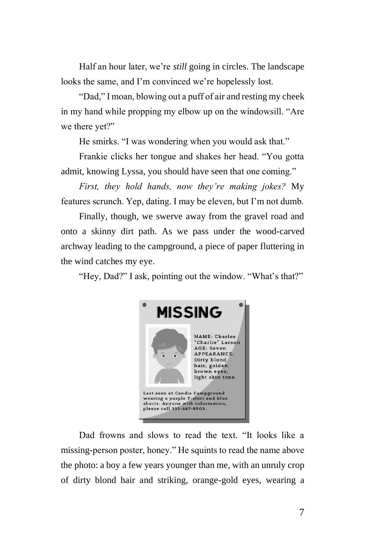Half an hour later, we're *still* going in circles. The landscape looks the same, and I'm convinced we're hopelessly lost.

"Dad," I moan, blowing out a puff of air and resting my cheek in my hand while propping my elbow up on the windowsill. "Are we there yet?"

He smirks. "I was wondering when you would ask that."

Frankie clicks her tongue and shakes her head. "You gotta admit, knowing Lyssa, you should have seen that one coming."

*First, they hold hands, now they're making jokes?* My features scrunch. Yep, dating. I may be eleven, but I'm not dumb.

Finally, though, we swerve away from the gravel road and onto a skinny dirt path. As we pass under the wood-carved archway leading to the campground, a piece of paper fluttering in the wind catches my eye.

"Hey, Dad?" I ask, pointing out the window. "What's that?"



Dad frowns and slows to read the text. "It looks like a missing-person poster, honey." He squints to read the name above the photo: a boy a few years younger than me, with an unruly crop of dirty blond hair and striking, orange-gold eyes, wearing a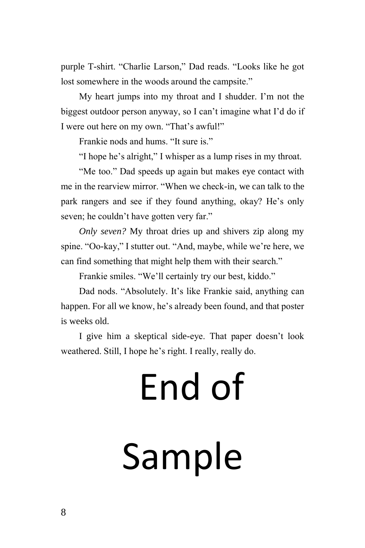purple T-shirt. "Charlie Larson," Dad reads. "Looks like he got lost somewhere in the woods around the campsite."

My heart jumps into my throat and I shudder. I'm not the biggest outdoor person anyway, so I can't imagine what I'd do if I were out here on my own. "That's awful!"

Frankie nods and hums. "It sure is."

"I hope he's alright," I whisper as a lump rises in my throat.

"Me too." Dad speeds up again but makes eye contact with me in the rearview mirror. "When we check-in, we can talk to the park rangers and see if they found anything, okay? He's only seven; he couldn't have gotten very far."

*Only seven?* My throat dries up and shivers zip along my spine. "Oo-kay," I stutter out. "And, maybe, while we're here, we can find something that might help them with their search."

Frankie smiles. "We'll certainly try our best, kiddo."

Dad nods. "Absolutely. It's like Frankie said, anything can happen. For all we know, he's already been found, and that poster is weeks old.

I give him a skeptical side-eye. That paper doesn't look weathered. Still, I hope he's right. I really, really do.

## End of Sample